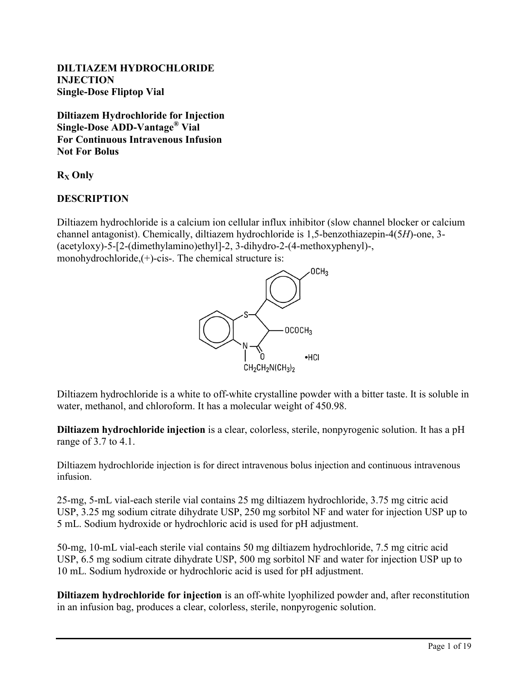#### **DILTIAZEM HYDROCHLORIDE INJECTION Single-Dose Fliptop Vial**

**Diltiazem Hydrochloride for Injection Single-Dose ADD-Vantage® Vial For Continuous Intravenous Infusion Not For Bolus**

**R<sup>X</sup> Only**

## **DESCRIPTION**

Diltiazem hydrochloride is a calcium ion cellular influx inhibitor (slow channel blocker or calcium channel antagonist). Chemically, diltiazem hydrochloride is 1,5-benzothiazepin-4(5*H*)-one, 3- (acetyloxy)-5-[2-(dimethylamino)ethyl]-2, 3-dihydro-2-(4-methoxyphenyl)-, monohydrochloride,  $(+)$ -cis-. The chemical structure is:



Diltiazem hydrochloride is a white to off-white crystalline powder with a bitter taste. It is soluble in water, methanol, and chloroform. It has a molecular weight of 450.98.

**Diltiazem hydrochloride injection** is a clear, colorless, sterile, nonpyrogenic solution. It has a pH range of 3.7 to 4.1.

Diltiazem hydrochloride injection is for direct intravenous bolus injection and continuous intravenous infusion.

25-mg, 5-mL vial-each sterile vial contains 25 mg diltiazem hydrochloride, 3.75 mg citric acid USP, 3.25 mg sodium citrate dihydrate USP, 250 mg sorbitol NF and water for injection USP up to 5 mL. Sodium hydroxide or hydrochloric acid is used for pH adjustment.

50-mg, 10-mL vial-each sterile vial contains 50 mg diltiazem hydrochloride, 7.5 mg citric acid USP, 6.5 mg sodium citrate dihydrate USP, 500 mg sorbitol NF and water for injection USP up to 10 mL. Sodium hydroxide or hydrochloric acid is used for pH adjustment.

**Diltiazem hydrochloride for injection** is an off-white lyophilized powder and, after reconstitution in an infusion bag, produces a clear, colorless, sterile, nonpyrogenic solution.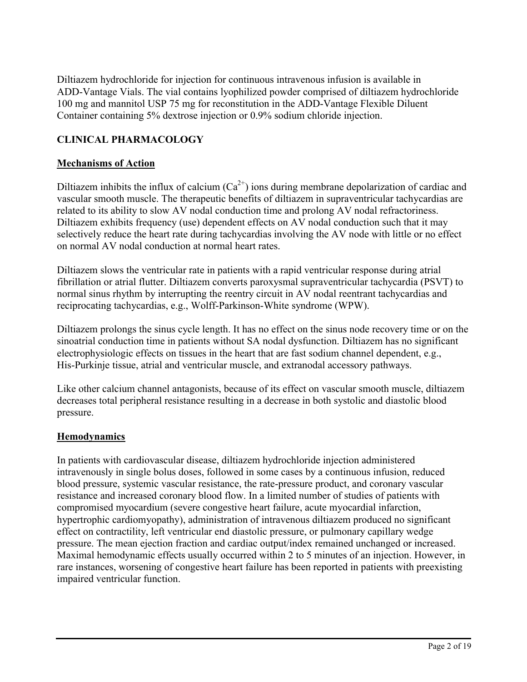Diltiazem hydrochloride for injection for continuous intravenous infusion is available in ADD-Vantage Vials. The vial contains lyophilized powder comprised of diltiazem hydrochloride 100 mg and mannitol USP 75 mg for reconstitution in the ADD-Vantage Flexible Diluent Container containing 5% dextrose injection or 0.9% sodium chloride injection.

## **CLINICAL PHARMACOLOGY**

#### **Mechanisms of Action**

Diltiazem inhibits the influx of calcium  $(Ca^{2+})$  ions during membrane depolarization of cardiac and vascular smooth muscle. The therapeutic benefits of diltiazem in supraventricular tachycardias are related to its ability to slow AV nodal conduction time and prolong AV nodal refractoriness. Diltiazem exhibits frequency (use) dependent effects on AV nodal conduction such that it may selectively reduce the heart rate during tachycardias involving the AV node with little or no effect on normal AV nodal conduction at normal heart rates.

Diltiazem slows the ventricular rate in patients with a rapid ventricular response during atrial fibrillation or atrial flutter. Diltiazem converts paroxysmal supraventricular tachycardia (PSVT) to normal sinus rhythm by interrupting the reentry circuit in AV nodal reentrant tachycardias and reciprocating tachycardias, e.g., Wolff-Parkinson-White syndrome (WPW).

Diltiazem prolongs the sinus cycle length. It has no effect on the sinus node recovery time or on the sinoatrial conduction time in patients without SA nodal dysfunction. Diltiazem has no significant electrophysiologic effects on tissues in the heart that are fast sodium channel dependent, e.g., His-Purkinje tissue, atrial and ventricular muscle, and extranodal accessory pathways.

Like other calcium channel antagonists, because of its effect on vascular smooth muscle, diltiazem decreases total peripheral resistance resulting in a decrease in both systolic and diastolic blood pressure.

#### **Hemodynamics**

In patients with cardiovascular disease, diltiazem hydrochloride injection administered intravenously in single bolus doses, followed in some cases by a continuous infusion, reduced blood pressure, systemic vascular resistance, the rate-pressure product, and coronary vascular resistance and increased coronary blood flow. In a limited number of studies of patients with compromised myocardium (severe congestive heart failure, acute myocardial infarction, hypertrophic cardiomyopathy), administration of intravenous diltiazem produced no significant effect on contractility, left ventricular end diastolic pressure, or pulmonary capillary wedge pressure. The mean ejection fraction and cardiac output/index remained unchanged or increased. Maximal hemodynamic effects usually occurred within 2 to 5 minutes of an injection. However, in rare instances, worsening of congestive heart failure has been reported in patients with preexisting impaired ventricular function.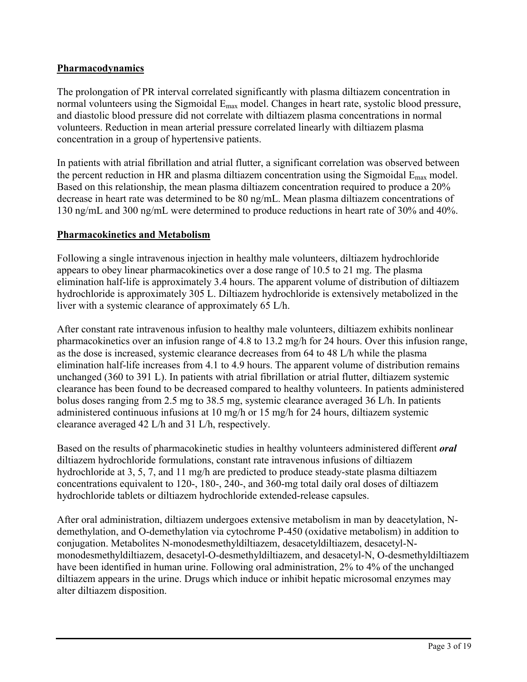## **Pharmacodynamics**

The prolongation of PR interval correlated significantly with plasma diltiazem concentration in normal volunteers using the Sigmoidal E<sub>max</sub> model. Changes in heart rate, systolic blood pressure, and diastolic blood pressure did not correlate with diltiazem plasma concentrations in normal volunteers. Reduction in mean arterial pressure correlated linearly with diltiazem plasma concentration in a group of hypertensive patients.

In patients with atrial fibrillation and atrial flutter, a significant correlation was observed between the percent reduction in HR and plasma diltiazem concentration using the Sigmoidal  $E_{\text{max}}$  model. Based on this relationship, the mean plasma diltiazem concentration required to produce a 20% decrease in heart rate was determined to be 80 ng/mL. Mean plasma diltiazem concentrations of 130 ng/mL and 300 ng/mL were determined to produce reductions in heart rate of 30% and 40%.

#### **Pharmacokinetics and Metabolism**

Following a single intravenous injection in healthy male volunteers, diltiazem hydrochloride appears to obey linear pharmacokinetics over a dose range of 10.5 to 21 mg. The plasma elimination half-life is approximately 3.4 hours. The apparent volume of distribution of diltiazem hydrochloride is approximately 305 L. Diltiazem hydrochloride is extensively metabolized in the liver with a systemic clearance of approximately 65 L/h.

After constant rate intravenous infusion to healthy male volunteers, diltiazem exhibits nonlinear pharmacokinetics over an infusion range of 4.8 to 13.2 mg/h for 24 hours. Over this infusion range, as the dose is increased, systemic clearance decreases from 64 to 48 L/h while the plasma elimination half-life increases from 4.1 to 4.9 hours. The apparent volume of distribution remains unchanged (360 to 391 L). In patients with atrial fibrillation or atrial flutter, diltiazem systemic clearance has been found to be decreased compared to healthy volunteers. In patients administered bolus doses ranging from 2.5 mg to 38.5 mg, systemic clearance averaged 36 L/h. In patients administered continuous infusions at 10 mg/h or 15 mg/h for 24 hours, diltiazem systemic clearance averaged 42 L/h and 31 L/h, respectively.

Based on the results of pharmacokinetic studies in healthy volunteers administered different *oral*  diltiazem hydrochloride formulations, constant rate intravenous infusions of diltiazem hydrochloride at 3, 5, 7, and 11 mg/h are predicted to produce steady-state plasma diltiazem concentrations equivalent to 120-, 180-, 240-, and 360-mg total daily oral doses of diltiazem hydrochloride tablets or diltiazem hydrochloride extended-release capsules.

After oral administration, diltiazem undergoes extensive metabolism in man by deacetylation, Ndemethylation, and O-demethylation via cytochrome P-450 (oxidative metabolism) in addition to conjugation. Metabolites N-monodesmethyldiltiazem, desacetyldiltiazem, desacetyl-Nmonodesmethyldiltiazem, desacetyl-O-desmethyldiltiazem, and desacetyl-N, O-desmethyldiltiazem have been identified in human urine. Following oral administration, 2% to 4% of the unchanged diltiazem appears in the urine. Drugs which induce or inhibit hepatic microsomal enzymes may alter diltiazem disposition.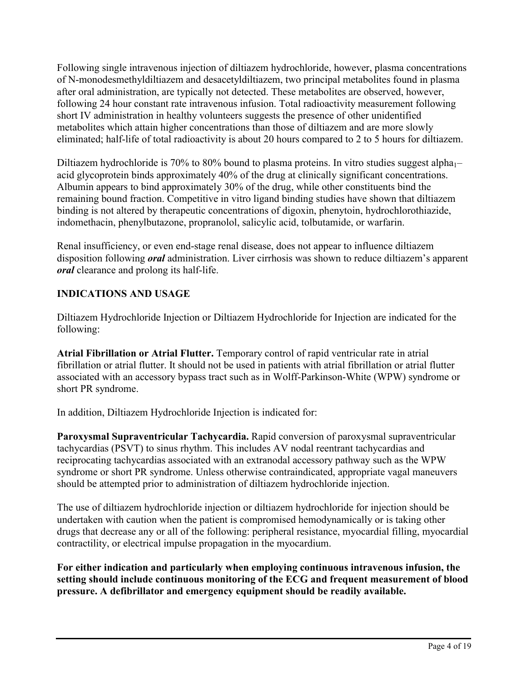Following single intravenous injection of diltiazem hydrochloride, however, plasma concentrations of N-monodesmethyldiltiazem and desacetyldiltiazem, two principal metabolites found in plasma after oral administration, are typically not detected. These metabolites are observed, however, following 24 hour constant rate intravenous infusion. Total radioactivity measurement following short IV administration in healthy volunteers suggests the presence of other unidentified metabolites which attain higher concentrations than those of diltiazem and are more slowly eliminated; half-life of total radioactivity is about 20 hours compared to 2 to 5 hours for diltiazem.

Diltiazem hydrochloride is 70% to 80% bound to plasma proteins. In vitro studies suggest alpha $1$ – acid glycoprotein binds approximately 40% of the drug at clinically significant concentrations. Albumin appears to bind approximately 30% of the drug, while other constituents bind the remaining bound fraction. Competitive in vitro ligand binding studies have shown that diltiazem binding is not altered by therapeutic concentrations of digoxin, phenytoin, hydrochlorothiazide, indomethacin, phenylbutazone, propranolol, salicylic acid, tolbutamide, or warfarin.

Renal insufficiency, or even end-stage renal disease, does not appear to influence diltiazem disposition following *oral* administration. Liver cirrhosis was shown to reduce diltiazem's apparent *oral* clearance and prolong its half-life.

## **INDICATIONS AND USAGE**

Diltiazem Hydrochloride Injection or Diltiazem Hydrochloride for Injection are indicated for the following:

**Atrial Fibrillation or Atrial Flutter.** Temporary control of rapid ventricular rate in atrial fibrillation or atrial flutter. It should not be used in patients with atrial fibrillation or atrial flutter associated with an accessory bypass tract such as in Wolff-Parkinson-White (WPW) syndrome or short PR syndrome.

In addition, Diltiazem Hydrochloride Injection is indicated for:

**Paroxysmal Supraventricular Tachycardia.** Rapid conversion of paroxysmal supraventricular tachycardias (PSVT) to sinus rhythm. This includes AV nodal reentrant tachycardias and reciprocating tachycardias associated with an extranodal accessory pathway such as the WPW syndrome or short PR syndrome. Unless otherwise contraindicated, appropriate vagal maneuvers should be attempted prior to administration of diltiazem hydrochloride injection.

The use of diltiazem hydrochloride injection or diltiazem hydrochloride for injection should be undertaken with caution when the patient is compromised hemodynamically or is taking other drugs that decrease any or all of the following: peripheral resistance, myocardial filling, myocardial contractility, or electrical impulse propagation in the myocardium.

**For either indication and particularly when employing continuous intravenous infusion, the setting should include continuous monitoring of the ECG and frequent measurement of blood pressure. A defibrillator and emergency equipment should be readily available.**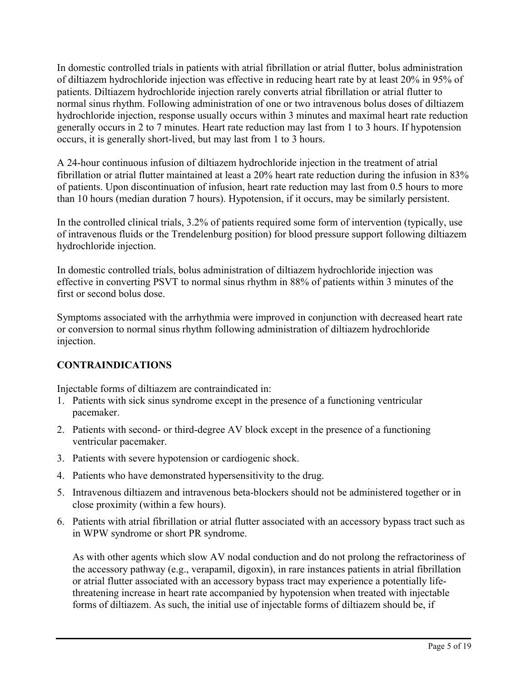In domestic controlled trials in patients with atrial fibrillation or atrial flutter, bolus administration of diltiazem hydrochloride injection was effective in reducing heart rate by at least 20% in 95% of patients. Diltiazem hydrochloride injection rarely converts atrial fibrillation or atrial flutter to normal sinus rhythm. Following administration of one or two intravenous bolus doses of diltiazem hydrochloride injection, response usually occurs within 3 minutes and maximal heart rate reduction generally occurs in 2 to 7 minutes. Heart rate reduction may last from 1 to 3 hours. If hypotension occurs, it is generally short-lived, but may last from 1 to 3 hours.

A 24-hour continuous infusion of diltiazem hydrochloride injection in the treatment of atrial fibrillation or atrial flutter maintained at least a 20% heart rate reduction during the infusion in 83% of patients. Upon discontinuation of infusion, heart rate reduction may last from 0.5 hours to more than 10 hours (median duration 7 hours). Hypotension, if it occurs, may be similarly persistent.

In the controlled clinical trials, 3.2% of patients required some form of intervention (typically, use of intravenous fluids or the Trendelenburg position) for blood pressure support following diltiazem hydrochloride injection.

In domestic controlled trials, bolus administration of diltiazem hydrochloride injection was effective in converting PSVT to normal sinus rhythm in 88% of patients within 3 minutes of the first or second bolus dose.

Symptoms associated with the arrhythmia were improved in conjunction with decreased heart rate or conversion to normal sinus rhythm following administration of diltiazem hydrochloride injection.

## **CONTRAINDICATIONS**

Injectable forms of diltiazem are contraindicated in:

- 1. Patients with sick sinus syndrome except in the presence of a functioning ventricular pacemaker.
- 2. Patients with second- or third-degree AV block except in the presence of a functioning ventricular pacemaker.
- 3. Patients with severe hypotension or cardiogenic shock.
- 4. Patients who have demonstrated hypersensitivity to the drug.
- 5. Intravenous diltiazem and intravenous beta-blockers should not be administered together or in close proximity (within a few hours).
- 6. Patients with atrial fibrillation or atrial flutter associated with an accessory bypass tract such as in WPW syndrome or short PR syndrome.

As with other agents which slow AV nodal conduction and do not prolong the refractoriness of the accessory pathway (e.g., verapamil, digoxin), in rare instances patients in atrial fibrillation or atrial flutter associated with an accessory bypass tract may experience a potentially lifethreatening increase in heart rate accompanied by hypotension when treated with injectable forms of diltiazem. As such, the initial use of injectable forms of diltiazem should be, if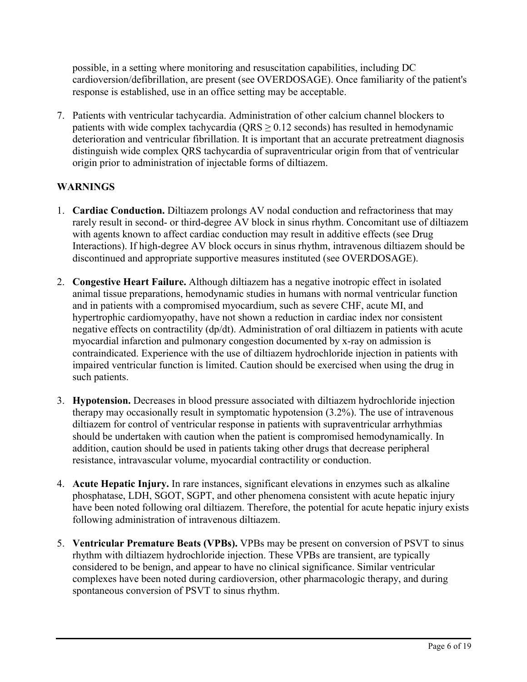possible, in a setting where monitoring and resuscitation capabilities, including DC cardioversion/defibrillation, are present (see OVERDOSAGE). Once familiarity of the patient's response is established, use in an office setting may be acceptable.

7. Patients with ventricular tachycardia. Administration of other calcium channel blockers to patients with wide complex tachycardia ( $\text{QRS} \geq 0.12$  seconds) has resulted in hemodynamic deterioration and ventricular fibrillation. It is important that an accurate pretreatment diagnosis distinguish wide complex QRS tachycardia of supraventricular origin from that of ventricular origin prior to administration of injectable forms of diltiazem.

## **WARNINGS**

- 1. **Cardiac Conduction.** Diltiazem prolongs AV nodal conduction and refractoriness that may rarely result in second- or third-degree AV block in sinus rhythm. Concomitant use of diltiazem with agents known to affect cardiac conduction may result in additive effects (see Drug Interactions). If high-degree AV block occurs in sinus rhythm, intravenous diltiazem should be discontinued and appropriate supportive measures instituted (see OVERDOSAGE).
- 2. **Congestive Heart Failure.** Although diltiazem has a negative inotropic effect in isolated animal tissue preparations, hemodynamic studies in humans with normal ventricular function and in patients with a compromised myocardium, such as severe CHF, acute MI, and hypertrophic cardiomyopathy, have not shown a reduction in cardiac index nor consistent negative effects on contractility (dp/dt). Administration of oral diltiazem in patients with acute myocardial infarction and pulmonary congestion documented by x-ray on admission is contraindicated. Experience with the use of diltiazem hydrochloride injection in patients with impaired ventricular function is limited. Caution should be exercised when using the drug in such patients.
- 3. **Hypotension.** Decreases in blood pressure associated with diltiazem hydrochloride injection therapy may occasionally result in symptomatic hypotension (3.2%). The use of intravenous diltiazem for control of ventricular response in patients with supraventricular arrhythmias should be undertaken with caution when the patient is compromised hemodynamically. In addition, caution should be used in patients taking other drugs that decrease peripheral resistance, intravascular volume, myocardial contractility or conduction.
- 4. **Acute Hepatic Injury.** In rare instances, significant elevations in enzymes such as alkaline phosphatase, LDH, SGOT, SGPT, and other phenomena consistent with acute hepatic injury have been noted following oral diltiazem. Therefore, the potential for acute hepatic injury exists following administration of intravenous diltiazem.
- 5. **Ventricular Premature Beats (VPBs).** VPBs may be present on conversion of PSVT to sinus rhythm with diltiazem hydrochloride injection. These VPBs are transient, are typically considered to be benign, and appear to have no clinical significance. Similar ventricular complexes have been noted during cardioversion, other pharmacologic therapy, and during spontaneous conversion of PSVT to sinus rhythm.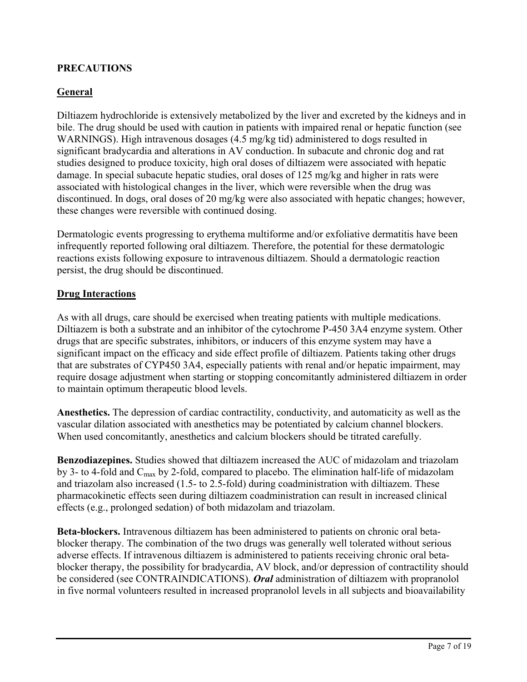## **PRECAUTIONS**

### **General**

Diltiazem hydrochloride is extensively metabolized by the liver and excreted by the kidneys and in bile. The drug should be used with caution in patients with impaired renal or hepatic function (see WARNINGS). High intravenous dosages (4.5 mg/kg tid) administered to dogs resulted in significant bradycardia and alterations in AV conduction. In subacute and chronic dog and rat studies designed to produce toxicity, high oral doses of diltiazem were associated with hepatic damage. In special subacute hepatic studies, oral doses of 125 mg/kg and higher in rats were associated with histological changes in the liver, which were reversible when the drug was discontinued. In dogs, oral doses of 20 mg/kg were also associated with hepatic changes; however, these changes were reversible with continued dosing.

Dermatologic events progressing to erythema multiforme and/or exfoliative dermatitis have been infrequently reported following oral diltiazem. Therefore, the potential for these dermatologic reactions exists following exposure to intravenous diltiazem. Should a dermatologic reaction persist, the drug should be discontinued.

#### **Drug Interactions**

As with all drugs, care should be exercised when treating patients with multiple medications. Diltiazem is both a substrate and an inhibitor of the cytochrome P-450 3A4 enzyme system. Other drugs that are specific substrates, inhibitors, or inducers of this enzyme system may have a significant impact on the efficacy and side effect profile of diltiazem. Patients taking other drugs that are substrates of CYP450 3A4, especially patients with renal and/or hepatic impairment, may require dosage adjustment when starting or stopping concomitantly administered diltiazem in order to maintain optimum therapeutic blood levels.

**Anesthetics.** The depression of cardiac contractility, conductivity, and automaticity as well as the vascular dilation associated with anesthetics may be potentiated by calcium channel blockers. When used concomitantly, anesthetics and calcium blockers should be titrated carefully.

**Benzodiazepines.** Studies showed that diltiazem increased the AUC of midazolam and triazolam by 3- to 4-fold and  $C_{\text{max}}$  by 2-fold, compared to placebo. The elimination half-life of midazolam and triazolam also increased (1.5- to 2.5-fold) during coadministration with diltiazem. These pharmacokinetic effects seen during diltiazem coadministration can result in increased clinical effects (e.g., prolonged sedation) of both midazolam and triazolam.

**Beta-blockers.** Intravenous diltiazem has been administered to patients on chronic oral betablocker therapy. The combination of the two drugs was generally well tolerated without serious adverse effects. If intravenous diltiazem is administered to patients receiving chronic oral betablocker therapy, the possibility for bradycardia, AV block, and/or depression of contractility should be considered (see CONTRAINDICATIONS). *Oral* administration of diltiazem with propranolol in five normal volunteers resulted in increased propranolol levels in all subjects and bioavailability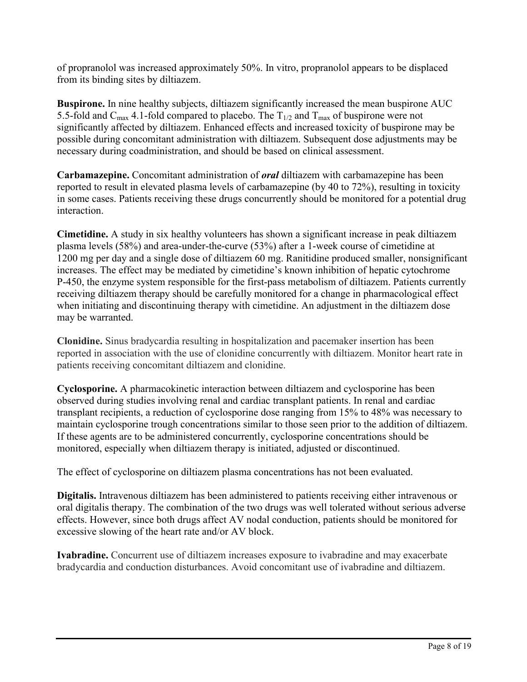of propranolol was increased approximately 50%. In vitro, propranolol appears to be displaced from its binding sites by diltiazem.

**Buspirone.** In nine healthy subjects, diltiazem significantly increased the mean buspirone AUC 5.5-fold and C<sub>max</sub> 4.1-fold compared to placebo. The  $T_{1/2}$  and T<sub>max</sub> of buspirone were not significantly affected by diltiazem. Enhanced effects and increased toxicity of buspirone may be possible during concomitant administration with diltiazem. Subsequent dose adjustments may be necessary during coadministration, and should be based on clinical assessment.

**Carbamazepine.** Concomitant administration of *oral* diltiazem with carbamazepine has been reported to result in elevated plasma levels of carbamazepine (by 40 to 72%), resulting in toxicity in some cases. Patients receiving these drugs concurrently should be monitored for a potential drug interaction.

**Cimetidine.** A study in six healthy volunteers has shown a significant increase in peak diltiazem plasma levels (58%) and area-under-the-curve (53%) after a 1-week course of cimetidine at 1200 mg per day and a single dose of diltiazem 60 mg. Ranitidine produced smaller, nonsignificant increases. The effect may be mediated by cimetidine's known inhibition of hepatic cytochrome P-450, the enzyme system responsible for the first-pass metabolism of diltiazem. Patients currently receiving diltiazem therapy should be carefully monitored for a change in pharmacological effect when initiating and discontinuing therapy with cimetidine. An adjustment in the diltiazem dose may be warranted.

**Clonidine.** Sinus bradycardia resulting in hospitalization and pacemaker insertion has been reported in association with the use of clonidine concurrently with diltiazem. Monitor heart rate in patients receiving concomitant diltiazem and clonidine.

**Cyclosporine.** A pharmacokinetic interaction between diltiazem and cyclosporine has been observed during studies involving renal and cardiac transplant patients. In renal and cardiac transplant recipients, a reduction of cyclosporine dose ranging from 15% to 48% was necessary to maintain cyclosporine trough concentrations similar to those seen prior to the addition of diltiazem. If these agents are to be administered concurrently, cyclosporine concentrations should be monitored, especially when diltiazem therapy is initiated, adjusted or discontinued.

The effect of cyclosporine on diltiazem plasma concentrations has not been evaluated.

**Digitalis.** Intravenous diltiazem has been administered to patients receiving either intravenous or oral digitalis therapy. The combination of the two drugs was well tolerated without serious adverse effects. However, since both drugs affect AV nodal conduction, patients should be monitored for excessive slowing of the heart rate and/or AV block.

**Ivabradine.** Concurrent use of diltiazem increases exposure to ivabradine and may exacerbate bradycardia and conduction disturbances. Avoid concomitant use of ivabradine and diltiazem.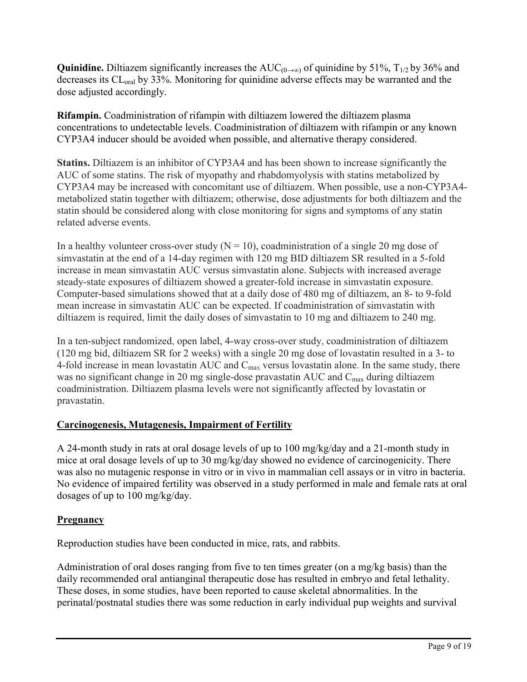**Quinidine.** Diltiazem significantly increases the  $AUC_{(0\rightarrow\infty)}$  of quinidine by 51%, T<sub>1/2</sub> by 36% and decreases its CL<sub>oral</sub> by 33%. Monitoring for quinidine adverse effects may be warranted and the dose adjusted accordingly.

**Rifampin.** Coadministration of rifampin with diltiazem lowered the diltiazem plasma concentrations to undetectable levels. Coadministration of diltiazem with rifampin or any known CYP3A4 inducer should be avoided when possible, and alternative therapy considered.

**Statins.** Diltiazem is an inhibitor of CYP3A4 and has been shown to increase significantly the AUC of some statins. The risk of myopathy and rhabdomyolysis with statins metabolized by CYP3A4 may be increased with concomitant use of diltiazem. When possible, use a non-CYP3A4 metabolized statin together with diltiazem; otherwise, dose adjustments for both diltiazem and the statin should be considered along with close monitoring for signs and symptoms of any statin related adverse events.

In a healthy volunteer cross-over study  $(N = 10)$ , coadministration of a single 20 mg dose of simvastatin at the end of a 14-day regimen with 120 mg BID diltiazem SR resulted in a 5-fold increase in mean simvastatin AUC versus simvastatin alone. Subjects with increased average steady-state exposures of diltiazem showed a greater-fold increase in simvastatin exposure. Computer-based simulations showed that at a daily dose of 480 mg of diltiazem, an 8- to 9-fold mean increase in simvastatin AUC can be expected. If coadministration of simvastatin with diltiazem is required, limit the daily doses of simvastatin to 10 mg and diltiazem to 240 mg.

In a ten-subject randomized, open label, 4-way cross-over study, coadministration of diltiazem (120 mg bid, diltiazem SR for 2 weeks) with a single 20 mg dose of lovastatin resulted in a 3- to 4-fold increase in mean lovastatin AUC and  $C_{\text{max}}$  versus lovastatin alone. In the same study, there was no significant change in 20 mg single-dose pravastatin AUC and C<sub>max</sub> during diltiazem coadministration. Diltiazem plasma levels were not significantly affected by lovastatin or pravastatin.

# **Carcinogenesis, Mutagenesis, Impairment of Fertility**

A 24-month study in rats at oral dosage levels of up to 100 mg/kg/day and a 21-month study in mice at oral dosage levels of up to 30 mg/kg/day showed no evidence of carcinogenicity. There was also no mutagenic response in vitro or in vivo in mammalian cell assays or in vitro in bacteria. No evidence of impaired fertility was observed in a study performed in male and female rats at oral dosages of up to 100 mg/kg/day.

## **Pregnancy**

Reproduction studies have been conducted in mice, rats, and rabbits.

Administration of oral doses ranging from five to ten times greater (on a mg/kg basis) than the daily recommended oral antianginal therapeutic dose has resulted in embryo and fetal lethality. These doses, in some studies, have been reported to cause skeletal abnormalities. In the perinatal/postnatal studies there was some reduction in early individual pup weights and survival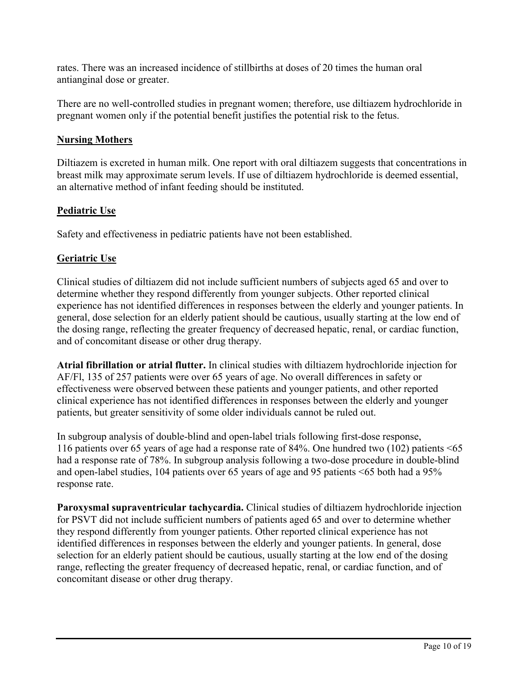rates. There was an increased incidence of stillbirths at doses of 20 times the human oral antianginal dose or greater.

There are no well-controlled studies in pregnant women; therefore, use diltiazem hydrochloride in pregnant women only if the potential benefit justifies the potential risk to the fetus.

### **Nursing Mothers**

Diltiazem is excreted in human milk. One report with oral diltiazem suggests that concentrations in breast milk may approximate serum levels. If use of diltiazem hydrochloride is deemed essential, an alternative method of infant feeding should be instituted.

## **Pediatric Use**

Safety and effectiveness in pediatric patients have not been established.

## **Geriatric Use**

Clinical studies of diltiazem did not include sufficient numbers of subjects aged 65 and over to determine whether they respond differently from younger subjects. Other reported clinical experience has not identified differences in responses between the elderly and younger patients. In general, dose selection for an elderly patient should be cautious, usually starting at the low end of the dosing range, reflecting the greater frequency of decreased hepatic, renal, or cardiac function, and of concomitant disease or other drug therapy.

**Atrial fibrillation or atrial flutter.** In clinical studies with diltiazem hydrochloride injection for AF/Fl, 135 of 257 patients were over 65 years of age. No overall differences in safety or effectiveness were observed between these patients and younger patients, and other reported clinical experience has not identified differences in responses between the elderly and younger patients, but greater sensitivity of some older individuals cannot be ruled out.

In subgroup analysis of double-blind and open-label trials following first-dose response, 116 patients over 65 years of age had a response rate of 84%. One hundred two (102) patients <65 had a response rate of 78%. In subgroup analysis following a two-dose procedure in double-blind and open-label studies, 104 patients over 65 years of age and 95 patients <65 both had a 95% response rate.

**Paroxysmal supraventricular tachycardia.** Clinical studies of diltiazem hydrochloride injection for PSVT did not include sufficient numbers of patients aged 65 and over to determine whether they respond differently from younger patients. Other reported clinical experience has not identified differences in responses between the elderly and younger patients. In general, dose selection for an elderly patient should be cautious, usually starting at the low end of the dosing range, reflecting the greater frequency of decreased hepatic, renal, or cardiac function, and of concomitant disease or other drug therapy.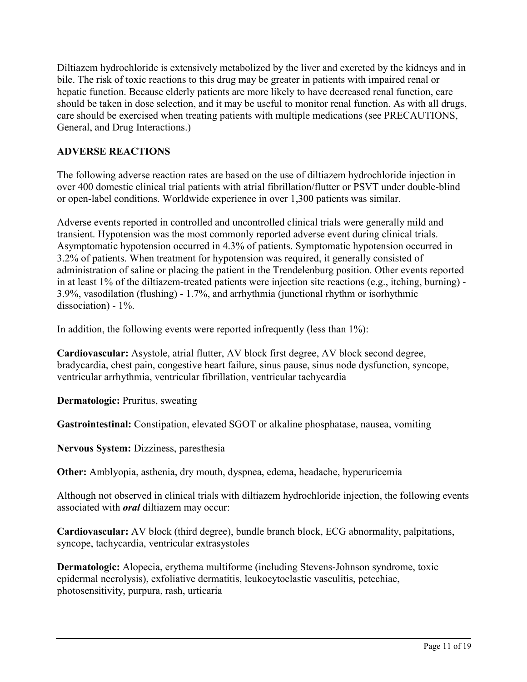Diltiazem hydrochloride is extensively metabolized by the liver and excreted by the kidneys and in bile. The risk of toxic reactions to this drug may be greater in patients with impaired renal or hepatic function. Because elderly patients are more likely to have decreased renal function, care should be taken in dose selection, and it may be useful to monitor renal function. As with all drugs, care should be exercised when treating patients with multiple medications (see PRECAUTIONS, General, and Drug Interactions.)

## **ADVERSE REACTIONS**

The following adverse reaction rates are based on the use of diltiazem hydrochloride injection in over 400 domestic clinical trial patients with atrial fibrillation/flutter or PSVT under double-blind or open-label conditions. Worldwide experience in over 1,300 patients was similar.

Adverse events reported in controlled and uncontrolled clinical trials were generally mild and transient. Hypotension was the most commonly reported adverse event during clinical trials. Asymptomatic hypotension occurred in 4.3% of patients. Symptomatic hypotension occurred in 3.2% of patients. When treatment for hypotension was required, it generally consisted of administration of saline or placing the patient in the Trendelenburg position. Other events reported in at least 1% of the diltiazem-treated patients were injection site reactions (e.g., itching, burning) - 3.9%, vasodilation (flushing) - 1.7%, and arrhythmia (junctional rhythm or isorhythmic dissociation) - 1%.

In addition, the following events were reported infrequently (less than 1%):

**Cardiovascular:** Asystole, atrial flutter, AV block first degree, AV block second degree, bradycardia, chest pain, congestive heart failure, sinus pause, sinus node dysfunction, syncope, ventricular arrhythmia, ventricular fibrillation, ventricular tachycardia

**Dermatologic:** Pruritus, sweating

**Gastrointestinal:** Constipation, elevated SGOT or alkaline phosphatase, nausea, vomiting

**Nervous System:** Dizziness, paresthesia

**Other:** Amblyopia, asthenia, dry mouth, dyspnea, edema, headache, hyperuricemia

Although not observed in clinical trials with diltiazem hydrochloride injection, the following events associated with *oral* diltiazem may occur:

**Cardiovascular:** AV block (third degree), bundle branch block, ECG abnormality, palpitations, syncope, tachycardia, ventricular extrasystoles

**Dermatologic:** Alopecia, erythema multiforme (including Stevens-Johnson syndrome, toxic epidermal necrolysis), exfoliative dermatitis, leukocytoclastic vasculitis, petechiae, photosensitivity, purpura, rash, urticaria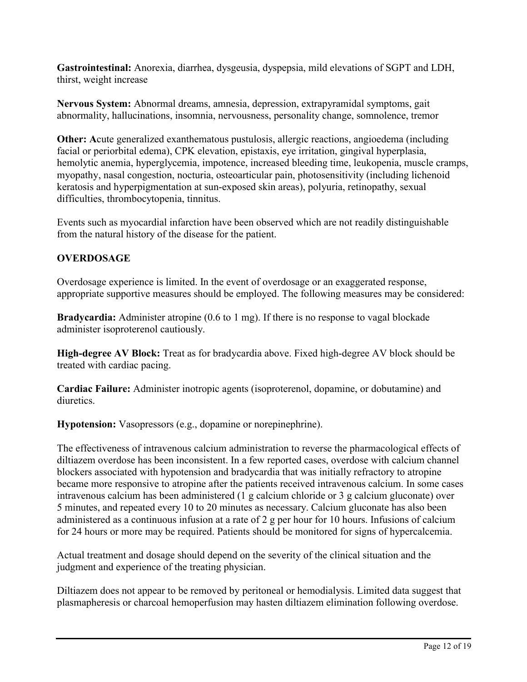**Gastrointestinal:** Anorexia, diarrhea, dysgeusia, dyspepsia, mild elevations of SGPT and LDH, thirst, weight increase

**Nervous System:** Abnormal dreams, amnesia, depression, extrapyramidal symptoms, gait abnormality, hallucinations, insomnia, nervousness, personality change, somnolence, tremor

**Other:** Acute generalized exanthematous pustulosis, allergic reactions, angioedema (including facial or periorbital edema), CPK elevation, epistaxis, eye irritation, gingival hyperplasia, hemolytic anemia, hyperglycemia, impotence, increased bleeding time, leukopenia, muscle cramps, myopathy, nasal congestion, nocturia, osteoarticular pain, photosensitivity (including lichenoid keratosis and hyperpigmentation at sun-exposed skin areas), polyuria, retinopathy, sexual difficulties, thrombocytopenia, tinnitus.

Events such as myocardial infarction have been observed which are not readily distinguishable from the natural history of the disease for the patient.

## **OVERDOSAGE**

Overdosage experience is limited. In the event of overdosage or an exaggerated response, appropriate supportive measures should be employed. The following measures may be considered:

**Bradycardia:** Administer atropine (0.6 to 1 mg). If there is no response to vagal blockade administer isoproterenol cautiously.

**High-degree AV Block:** Treat as for bradycardia above. Fixed high-degree AV block should be treated with cardiac pacing.

**Cardiac Failure:** Administer inotropic agents (isoproterenol, dopamine, or dobutamine) and diuretics.

**Hypotension:** Vasopressors (e.g., dopamine or norepinephrine).

The effectiveness of intravenous calcium administration to reverse the pharmacological effects of diltiazem overdose has been inconsistent. In a few reported cases, overdose with calcium channel blockers associated with hypotension and bradycardia that was initially refractory to atropine became more responsive to atropine after the patients received intravenous calcium. In some cases intravenous calcium has been administered (1 g calcium chloride or 3 g calcium gluconate) over 5 minutes, and repeated every 10 to 20 minutes as necessary. Calcium gluconate has also been administered as a continuous infusion at a rate of 2 g per hour for 10 hours. Infusions of calcium for 24 hours or more may be required. Patients should be monitored for signs of hypercalcemia.

Actual treatment and dosage should depend on the severity of the clinical situation and the judgment and experience of the treating physician.

Diltiazem does not appear to be removed by peritoneal or hemodialysis. Limited data suggest that plasmapheresis or charcoal hemoperfusion may hasten diltiazem elimination following overdose.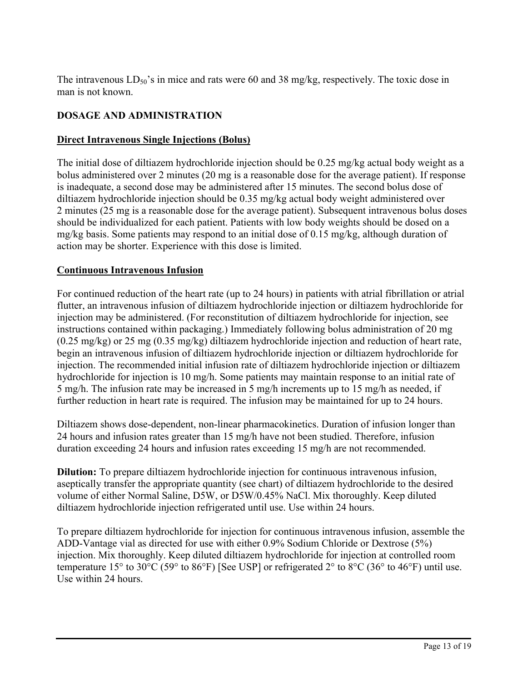The intravenous  $LD_{50}$ 's in mice and rats were 60 and 38 mg/kg, respectively. The toxic dose in man is not known.

## **DOSAGE AND ADMINISTRATION**

## **Direct Intravenous Single Injections (Bolus)**

The initial dose of diltiazem hydrochloride injection should be 0.25 mg/kg actual body weight as a bolus administered over 2 minutes (20 mg is a reasonable dose for the average patient). If response is inadequate, a second dose may be administered after 15 minutes. The second bolus dose of diltiazem hydrochloride injection should be 0.35 mg/kg actual body weight administered over 2 minutes (25 mg is a reasonable dose for the average patient). Subsequent intravenous bolus doses should be individualized for each patient. Patients with low body weights should be dosed on a mg/kg basis. Some patients may respond to an initial dose of 0.15 mg/kg, although duration of action may be shorter. Experience with this dose is limited.

## **Continuous Intravenous Infusion**

For continued reduction of the heart rate (up to 24 hours) in patients with atrial fibrillation or atrial flutter, an intravenous infusion of diltiazem hydrochloride injection or diltiazem hydrochloride for injection may be administered. (For reconstitution of diltiazem hydrochloride for injection, see instructions contained within packaging.) Immediately following bolus administration of 20 mg (0.25 mg/kg) or 25 mg (0.35 mg/kg) diltiazem hydrochloride injection and reduction of heart rate, begin an intravenous infusion of diltiazem hydrochloride injection or diltiazem hydrochloride for injection. The recommended initial infusion rate of diltiazem hydrochloride injection or diltiazem hydrochloride for injection is 10 mg/h. Some patients may maintain response to an initial rate of 5 mg/h. The infusion rate may be increased in 5 mg/h increments up to 15 mg/h as needed, if further reduction in heart rate is required. The infusion may be maintained for up to 24 hours.

Diltiazem shows dose-dependent, non-linear pharmacokinetics. Duration of infusion longer than 24 hours and infusion rates greater than 15 mg/h have not been studied. Therefore, infusion duration exceeding 24 hours and infusion rates exceeding 15 mg/h are not recommended.

**Dilution:** To prepare diltiazem hydrochloride injection for continuous intravenous infusion, aseptically transfer the appropriate quantity (see chart) of diltiazem hydrochloride to the desired volume of either Normal Saline, D5W, or D5W/0.45% NaCl. Mix thoroughly. Keep diluted diltiazem hydrochloride injection refrigerated until use. Use within 24 hours.

To prepare diltiazem hydrochloride for injection for continuous intravenous infusion, assemble the ADD-Vantage vial as directed for use with either 0.9% Sodium Chloride or Dextrose (5%) injection. Mix thoroughly. Keep diluted diltiazem hydrochloride for injection at controlled room temperature 15° to 30°C (59° to 86°F) [See USP] or refrigerated 2° to 8°C (36° to 46°F) until use. Use within 24 hours.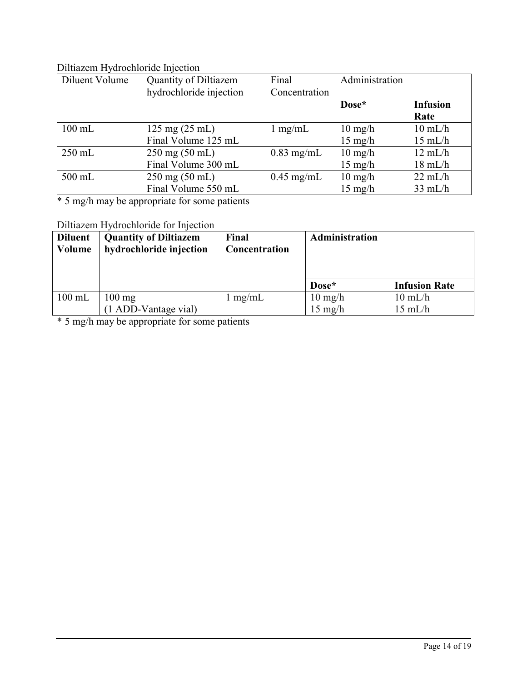## Diltiazem Hydrochloride Injection

| Diluent Volume | <b>Quantity of Diltiazem</b><br>hydrochloride injection | Final<br>Concentration | Administration    |                   |
|----------------|---------------------------------------------------------|------------------------|-------------------|-------------------|
|                |                                                         |                        | Dose*             | <b>Infusion</b>   |
|                |                                                         |                        |                   | Rate              |
| $100$ mL       | $125 \text{ mg} (25 \text{ mL})$                        | $1 \text{ mg/mL}$      | $10 \text{ mg/h}$ | $10 \text{ mL/h}$ |
|                | Final Volume 125 mL                                     |                        | $15 \text{ mg/h}$ | $15 \text{ mL/h}$ |
| $250$ mL       | $250 \text{ mg} (50 \text{ mL})$                        | $0.83$ mg/mL           | $10 \text{ mg/h}$ | $12 \text{ mL/h}$ |
|                | Final Volume 300 mL                                     |                        | $15 \text{ mg/h}$ | $18 \text{ mL/h}$ |
| 500 mL         | $250 \text{ mg} (50 \text{ mL})$                        | $0.45$ mg/mL           | $10 \text{ mg/h}$ | $22 \text{ mL/h}$ |
|                | Final Volume 550 mL                                     |                        | $15 \text{ mg/h}$ | $33 \text{ mL/h}$ |

\* 5 mg/h may be appropriate for some patients

# Diltiazem Hydrochloride for Injection

| <b>Diluent</b><br>Volume | <b>Quantity of Diltiazem</b><br>hydrochloride injection | Final<br>Concentration | Administration    |                      |
|--------------------------|---------------------------------------------------------|------------------------|-------------------|----------------------|
|                          |                                                         |                        | Dose*             | <b>Infusion Rate</b> |
| $100$ mL                 | $100 \text{ mg}$                                        | $1 \text{ mg/mL}$      | $10 \text{ mg/h}$ | $10 \text{ mL/h}$    |
|                          | (1 ADD-Vantage vial)                                    |                        | $15 \text{ mg/h}$ | $15 \text{ mL/h}$    |

\* 5 mg/h may be appropriate for some patients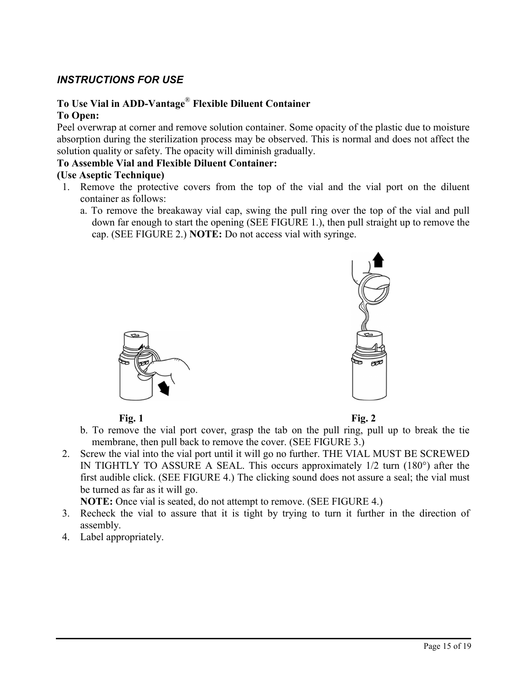## *INSTRUCTIONS FOR USE*

### **To Use Vial in ADD-Vantage**® **Flexible Diluent Container To Open:**

Peel overwrap at corner and remove solution container. Some opacity of the plastic due to moisture absorption during the sterilization process may be observed. This is normal and does not affect the solution quality or safety. The opacity will diminish gradually.

#### **To Assemble Vial and Flexible Diluent Container:**

#### **(Use Aseptic Technique)**

- 1. Remove the protective covers from the top of the vial and the vial port on the diluent container as follows:
	- a. To remove the breakaway vial cap, swing the pull ring over the top of the vial and pull down far enough to start the opening (SEE FIGURE 1.), then pull straight up to remove the cap. (SEE FIGURE 2.) **NOTE:** Do not access vial with syringe.





**Fig. 1** Fig. 2



- b. To remove the vial port cover, grasp the tab on the pull ring, pull up to break the tie membrane, then pull back to remove the cover. (SEE FIGURE 3.)
- 2. Screw the vial into the vial port until it will go no further. THE VIAL MUST BE SCREWED IN TIGHTLY TO ASSURE A SEAL. This occurs approximately 1/2 turn (180°) after the first audible click. (SEE FIGURE 4.) The clicking sound does not assure a seal; the vial must be turned as far as it will go.

**NOTE:** Once vial is seated, do not attempt to remove. (SEE FIGURE 4.)

- 3. Recheck the vial to assure that it is tight by trying to turn it further in the direction of assembly.
- 4. Label appropriately.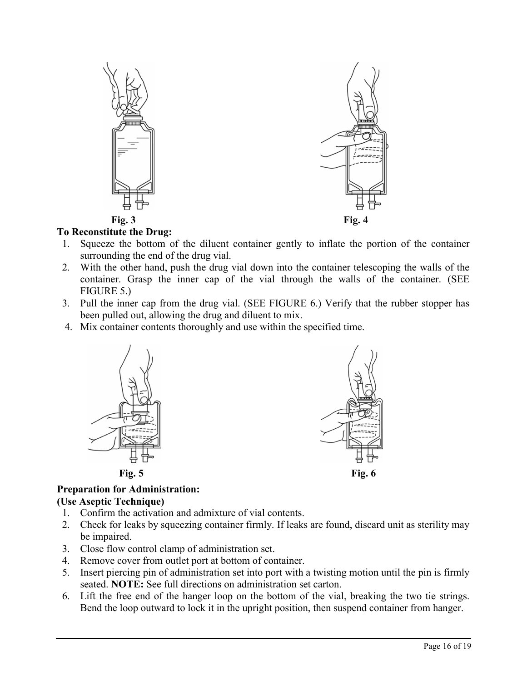

## **To Reconstitute the Drug:**

- 1. Squeeze the bottom of the diluent container gently to inflate the portion of the container surrounding the end of the drug vial.
- 2. With the other hand, push the drug vial down into the container telescoping the walls of the container. Grasp the inner cap of the vial through the walls of the container. (SEE FIGURE 5.)
- 3. Pull the inner cap from the drug vial. (SEE FIGURE 6.) Verify that the rubber stopper has been pulled out, allowing the drug and diluent to mix.
- 4. Mix container contents thoroughly and use within the specified time.





#### **Preparation for Administration: (Use Aseptic Technique)**

- 1. Confirm the activation and admixture of vial contents.
- 2. Check for leaks by squeezing container firmly. If leaks are found, discard unit as sterility may be impaired.
- 3. Close flow control clamp of administration set.
- 4. Remove cover from outlet port at bottom of container.
- 5. Insert piercing pin of administration set into port with a twisting motion until the pin is firmly seated. **NOTE:** See full directions on administration set carton.
- 6. Lift the free end of the hanger loop on the bottom of the vial, breaking the two tie strings. Bend the loop outward to lock it in the upright position, then suspend container from hanger.

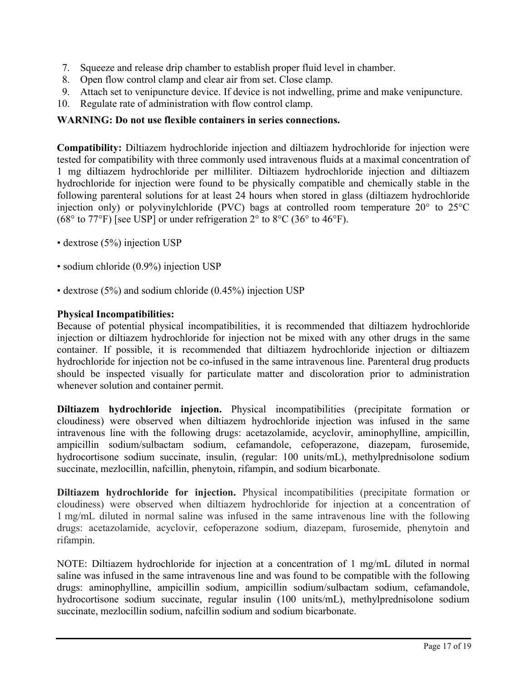- 7. Squeeze and release drip chamber to establish proper fluid level in chamber.
- 8. Open flow control clamp and clear air from set. Close clamp.
- 9. Attach set to venipuncture device. If device is not indwelling, prime and make venipuncture.
- 10. Regulate rate of administration with flow control clamp.

### **WARNING: Do not use flexible containers in series connections.**

**Compatibility:** Diltiazem hydrochloride injection and diltiazem hydrochloride for injection were tested for compatibility with three commonly used intravenous fluids at a maximal concentration of 1 mg diltiazem hydrochloride per milliliter. Diltiazem hydrochloride injection and diltiazem hydrochloride for injection were found to be physically compatible and chemically stable in the following parenteral solutions for at least 24 hours when stored in glass (diltiazem hydrochloride injection only) or polyvinylchloride (PVC) bags at controlled room temperature 20° to 25°C (68 $\degree$  to 77 $\degree$ F) [see USP] or under refrigeration 2 $\degree$  to 8 $\degree$ C (36 $\degree$  to 46 $\degree$ F).

- dextrose (5%) injection USP
- sodium chloride (0.9%) injection USP
- dextrose (5%) and sodium chloride (0.45%) injection USP

#### **Physical Incompatibilities:**

Because of potential physical incompatibilities, it is recommended that diltiazem hydrochloride injection or diltiazem hydrochloride for injection not be mixed with any other drugs in the same container. If possible, it is recommended that diltiazem hydrochloride injection or diltiazem hydrochloride for injection not be co-infused in the same intravenous line. Parenteral drug products should be inspected visually for particulate matter and discoloration prior to administration whenever solution and container permit.

**Diltiazem hydrochloride injection.** Physical incompatibilities (precipitate formation or cloudiness) were observed when diltiazem hydrochloride injection was infused in the same intravenous line with the following drugs: acetazolamide, acyclovir, aminophylline, ampicillin, ampicillin sodium/sulbactam sodium, cefamandole, cefoperazone, diazepam, furosemide, hydrocortisone sodium succinate, insulin, (regular: 100 units/mL), methylprednisolone sodium succinate, mezlocillin, nafcillin, phenytoin, rifampin, and sodium bicarbonate.

**Diltiazem hydrochloride for injection.** Physical incompatibilities (precipitate formation or cloudiness) were observed when diltiazem hydrochloride for injection at a concentration of 1 mg/mL diluted in normal saline was infused in the same intravenous line with the following drugs: acetazolamide, acyclovir, cefoperazone sodium, diazepam, furosemide, phenytoin and rifampin.

NOTE: Diltiazem hydrochloride for injection at a concentration of 1 mg/mL diluted in normal saline was infused in the same intravenous line and was found to be compatible with the following drugs: aminophylline, ampicillin sodium, ampicillin sodium/sulbactam sodium, cefamandole, hydrocortisone sodium succinate, regular insulin (100 units/mL), methylprednisolone sodium succinate, mezlocillin sodium, nafcillin sodium and sodium bicarbonate.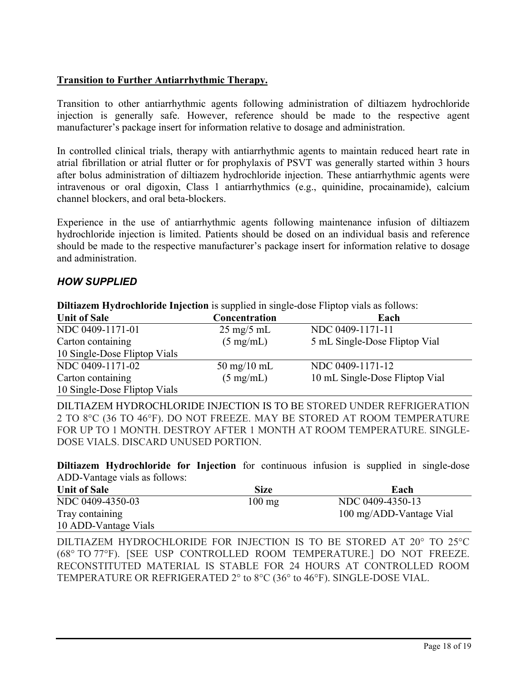### **Transition to Further Antiarrhythmic Therapy.**

Transition to other antiarrhythmic agents following administration of diltiazem hydrochloride injection is generally safe. However, reference should be made to the respective agent manufacturer's package insert for information relative to dosage and administration.

In controlled clinical trials, therapy with antiarrhythmic agents to maintain reduced heart rate in atrial fibrillation or atrial flutter or for prophylaxis of PSVT was generally started within 3 hours after bolus administration of diltiazem hydrochloride injection. These antiarrhythmic agents were intravenous or oral digoxin, Class 1 antiarrhythmics (e.g., quinidine, procainamide), calcium channel blockers, and oral beta-blockers.

Experience in the use of antiarrhythmic agents following maintenance infusion of diltiazem hydrochloride injection is limited. Patients should be dosed on an individual basis and reference should be made to the respective manufacturer's package insert for information relative to dosage and administration.

## *HOW SUPPLIED*

**Diltiazem Hydrochloride Injection** is supplied in single-dose Fliptop vials as follows:

| <b>Unit of Sale</b>          | <b>Concentration</b>          | Each                           |
|------------------------------|-------------------------------|--------------------------------|
| NDC 0409-1171-01             | $25 \text{ mg}/5 \text{ mL}$  | NDC 0409-1171-11               |
| Carton containing            | $(5 \text{ mg/mL})$           | 5 mL Single-Dose Fliptop Vial  |
| 10 Single-Dose Fliptop Vials |                               |                                |
| NDC 0409-1171-02             | $50 \text{ mg}/10 \text{ mL}$ | NDC 0409-1171-12               |
| Carton containing            | $(5 \text{ mg/mL})$           | 10 mL Single-Dose Fliptop Vial |
| 10 Single-Dose Fliptop Vials |                               |                                |

DILTIAZEM HYDROCHLORIDE INJECTION IS TO BE STORED UNDER REFRIGERATION 2 TO 8°C (36 TO 46°F). DO NOT FREEZE. MAY BE STORED AT ROOM TEMPERATURE FOR UP TO 1 MONTH. DESTROY AFTER 1 MONTH AT ROOM TEMPERATURE. SINGLE-DOSE VIALS. DISCARD UNUSED PORTION.

**Diltiazem Hydrochloride for Injection** for continuous infusion is supplied in single-dose ADD-Vantage vials as follows:

| <b>Unit of Sale</b>  | <b>Size</b>      | Each                    |
|----------------------|------------------|-------------------------|
| NDC 0409-4350-03     | $100 \text{ mg}$ | NDC 0409-4350-13        |
| Tray containing      |                  | 100 mg/ADD-Vantage Vial |
| 10 ADD-Vantage Vials |                  |                         |

DILTIAZEM HYDROCHLORIDE FOR INJECTION IS TO BE STORED AT 20° TO 25°C (68° TO 77°F). [SEE USP CONTROLLED ROOM TEMPERATURE.] DO NOT FREEZE. RECONSTITUTED MATERIAL IS STABLE FOR 24 HOURS AT CONTROLLED ROOM TEMPERATURE OR REFRIGERATED 2° to 8°C (36° to 46°F). SINGLE-DOSE VIAL.